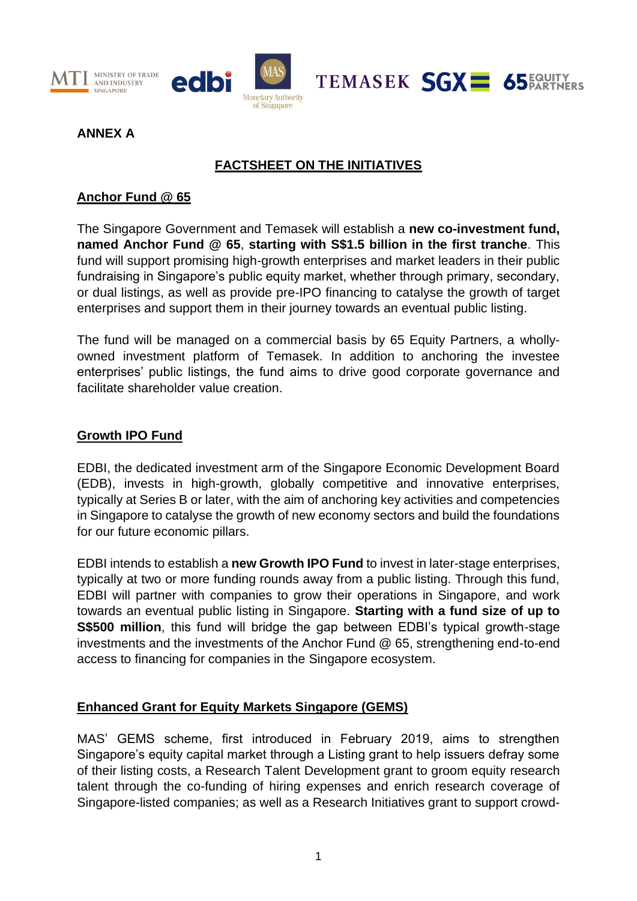





**ANNEX A**

# **FACTSHEET ON THE INITIATIVES**

## **Anchor Fund @ 65**

The Singapore Government and Temasek will establish a **new co-investment fund, named Anchor Fund @ 65**, **starting with S\$1.5 billion in the first tranche**. This fund will support promising high-growth enterprises and market leaders in their public fundraising in Singapore's public equity market, whether through primary, secondary, or dual listings, as well as provide pre-IPO financing to catalyse the growth of target enterprises and support them in their journey towards an eventual public listing.

The fund will be managed on a commercial basis by 65 Equity Partners, a whollyowned investment platform of Temasek. In addition to anchoring the investee enterprises' public listings, the fund aims to drive good corporate governance and facilitate shareholder value creation.

### **Growth IPO Fund**

EDBI, the dedicated investment arm of the Singapore Economic Development Board (EDB), invests in high-growth, globally competitive and innovative enterprises, typically at Series B or later, with the aim of anchoring key activities and competencies in Singapore to catalyse the growth of new economy sectors and build the foundations for our future economic pillars.

EDBI intends to establish a **new Growth IPO Fund** to invest in later-stage enterprises, typically at two or more funding rounds away from a public listing. Through this fund, EDBI will partner with companies to grow their operations in Singapore, and work towards an eventual public listing in Singapore. **Starting with a fund size of up to S\$500 million**, this fund will bridge the gap between EDBI's typical growth-stage investments and the investments of the Anchor Fund @ 65, strengthening end-to-end access to financing for companies in the Singapore ecosystem.

### **Enhanced Grant for Equity Markets Singapore (GEMS)**

MAS' GEMS scheme, first introduced in February 2019, aims to strengthen Singapore's equity capital market through a Listing grant to help issuers defray some of their listing costs, a Research Talent Development grant to groom equity research talent through the co-funding of hiring expenses and enrich research coverage of Singapore-listed companies; as well as a Research Initiatives grant to support crowd-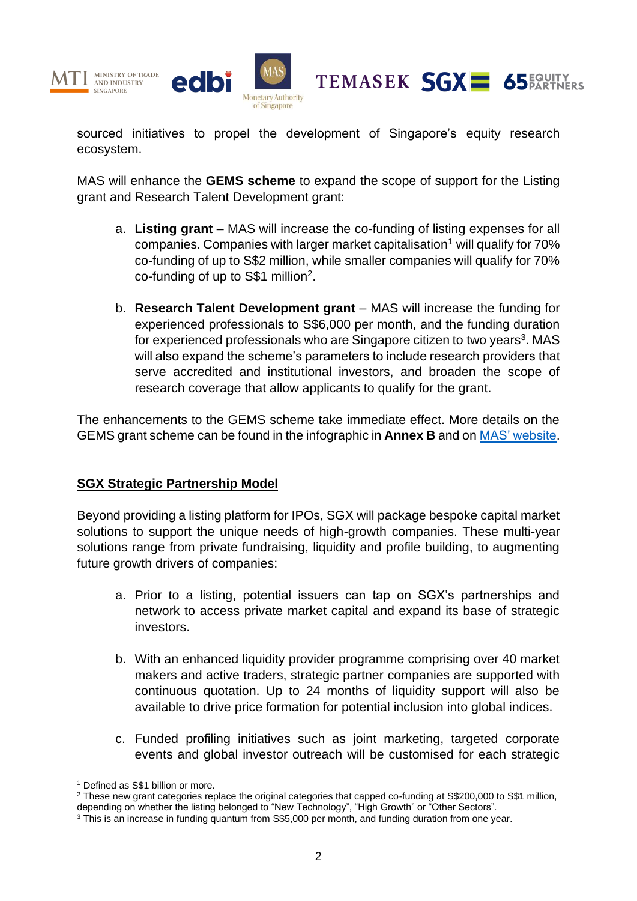



sourced initiatives to propel the development of Singapore's equity research ecosystem.

MAS will enhance the **GEMS scheme** to expand the scope of support for the Listing grant and Research Talent Development grant:

- a. **Listing grant** MAS will increase the co-funding of listing expenses for all companies. Companies with larger market capitalisation<sup>1</sup> will qualify for 70% co-funding of up to S\$2 million, while smaller companies will qualify for 70% co-funding of up to S\$1 million<sup>2</sup>.
- b. **Research Talent Development grant** MAS will increase the funding for experienced professionals to S\$6,000 per month, and the funding duration for experienced professionals who are Singapore citizen to two years<sup>3</sup>. MAS will also expand the scheme's parameters to include research providers that serve accredited and institutional investors, and broaden the scope of research coverage that allow applicants to qualify for the grant.

The enhancements to the GEMS scheme take immediate effect. More details on the GEMS grant scheme can be found in the infographic in **Annex B** and on [MAS' website.](https://www.mas.gov.sg/schemes-and-initiatives/grant-for-equity-market-singapore-scheme)

### **SGX Strategic Partnership Model**

Beyond providing a listing platform for IPOs, SGX will package bespoke capital market solutions to support the unique needs of high-growth companies. These multi-year solutions range from private fundraising, liquidity and profile building, to augmenting future growth drivers of companies:

- a. Prior to a listing, potential issuers can tap on SGX's partnerships and network to access private market capital and expand its base of strategic investors.
- b. With an enhanced liquidity provider programme comprising over 40 market makers and active traders, strategic partner companies are supported with continuous quotation. Up to 24 months of liquidity support will also be available to drive price formation for potential inclusion into global indices.
- c. Funded profiling initiatives such as joint marketing, targeted corporate events and global investor outreach will be customised for each strategic

<sup>&</sup>lt;sup>1</sup> Defined as S\$1 billion or more.

<sup>&</sup>lt;sup>2</sup> These new grant categories replace the original categories that capped co-funding at S\$200,000 to S\$1 million,

depending on whether the listing belonged to "New Technology", "High Growth" or "Other Sectors".

<sup>&</sup>lt;sup>3</sup> This is an increase in funding quantum from S\$5,000 per month, and funding duration from one year.